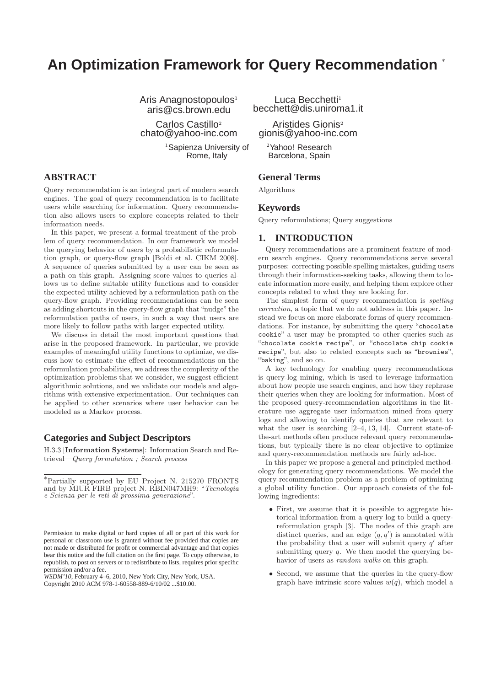# **An Optimization Framework for Query Recommendation** <sup>∗</sup>

Aris Anagnostopoulos<sup>1</sup> aris@cs.brown.edu

Carlos Castillo<sup>2</sup> chato@yahoo-inc.com

 $1$ Sapienza University of  $2$ Yahoo! Research

# **ABSTRACT**

Query recommendation is an integral part of modern search engines. The goal of query recommendation is to facilitate users while searching for information. Query recommendation also allows users to explore concepts related to their information needs.

In this paper, we present a formal treatment of the problem of query recommendation. In our framework we model the querying behavior of users by a probabilistic reformulation graph, or query-flow graph [Boldi et al. CIKM 2008]. A sequence of queries submitted by a user can be seen as a path on this graph. Assigning score values to queries allows us to define suitable utility functions and to consider the expected utility achieved by a reformulation path on the query-flow graph. Providing recommendations can be seen as adding shortcuts in the query-flow graph that "nudge" the reformulation paths of users, in such a way that users are more likely to follow paths with larger expected utility.

We discuss in detail the most important questions that arise in the proposed framework. In particular, we provide examples of meaningful utility functions to optimize, we discuss how to estimate the effect of recommendations on the reformulation probabilities, we address the complexity of the optimization problems that we consider, we suggest efficient algorithmic solutions, and we validate our models and algorithms with extensive experimentation. Our techniques can be applied to other scenarios where user behavior can be modeled as a Markov process.

## **Categories and Subject Descriptors**

H.3.3 [Information Systems]: Information Search and Retrieval—*Query formulation ; Search process*

*WSDM'10,* February 4–6, 2010, New York City, New York, USA. Copyright 2010 ACM 978-1-60558-889-6/10/02 ...\$10.00.

Luca Becchetti<sup>1</sup> becchett@dis.uniroma1.it

Aristides Gionis<sup>2</sup> gionis@yahoo-inc.com

Rome, Italy Barcelona, Spain

#### **General Terms**

Algorithms

#### **Keywords**

Query reformulations; Query suggestions

## **1. INTRODUCTION**

Query recommendations are a prominent feature of modern search engines. Query recommendations serve several purposes: correcting possible spelling mistakes, guiding users through their information-seeking tasks, allowing them to locate information more easily, and helping them explore other concepts related to what they are looking for.

The simplest form of query recommendation is *spelling correction*, a topic that we do not address in this paper. Instead we focus on more elaborate forms of query recommendations. For instance, by submitting the query "chocolate cookie" a user may be prompted to other queries such as "chocolate cookie recipe", or "chocolate chip cookie recipe", but also to related concepts such as "brownies", "baking", and so on.

A key technology for enabling query recommendations is query-log mining, which is used to leverage information about how people use search engines, and how they rephrase their queries when they are looking for information. Most of the proposed query-recommendation algorithms in the literature use aggregate user information mined from query logs and allowing to identify queries that are relevant to what the user is searching [2–4, 13, 14]. Current state-ofthe-art methods often produce relevant query recommendations, but typically there is no clear objective to optimize and query-recommendation methods are fairly ad-hoc.

In this paper we propose a general and principled methodology for generating query recommendations. We model the query-recommendation problem as a problem of optimizing a global utility function. Our approach consists of the following ingredients:

- First, we assume that it is possible to aggregate historical information from a query log to build a queryreformulation graph [3]. The nodes of this graph are distinct queries, and an edge  $(q, q')$  is annotated with the probability that a user will submit query  $q'$  after submitting query  $q$ . We then model the querying behavior of users as *random walks* on this graph.
- Second, we assume that the queries in the query-flow graph have intrinsic score values  $w(q)$ , which model a

<sup>∗</sup>Partially supported by EU Project N. 215270 FRONTS and by MIUR FIRB project N. RBIN047MH9: "*Tecnologia e Scienza per le reti di prossima generazione*".

Permission to make digital or hard copies of all or part of this work for personal or classroom use is granted without fee provided that copies are not made or distributed for profit or commercial advantage and that copies bear this notice and the full citation on the first page. To copy otherwise, to republish, to post on servers or to redistribute to lists, requires prior specific permission and/or a fee.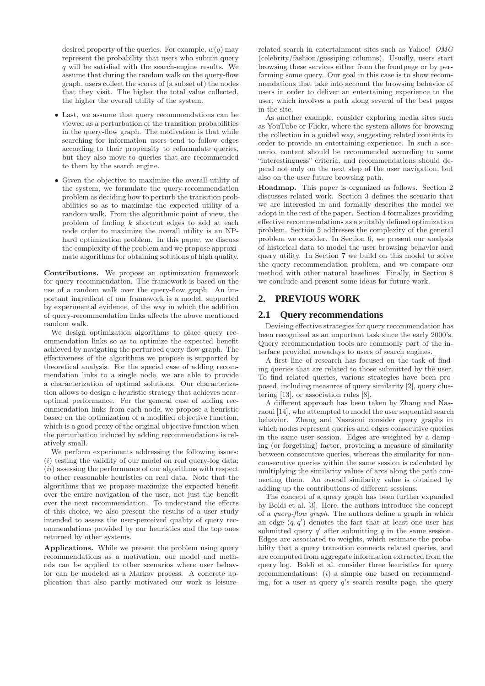desired property of the queries. For example,  $w(q)$  may represent the probability that users who submit query q will be satisfied with the search-engine results. We assume that during the random walk on the query-flow graph, users collect the scores of (a subset of) the nodes that they visit. The higher the total value collected, the higher the overall utility of the system.

- Last, we assume that query recommendations can be viewed as a perturbation of the transition probabilities in the query-flow graph. The motivation is that while searching for information users tend to follow edges according to their propensity to reformulate queries, but they also move to queries that are recommended to them by the search engine.
- Given the objective to maximize the overall utility of the system, we formulate the query-recommendation problem as deciding how to perturb the transition probabilities so as to maximize the expected utility of a random walk. From the algorithmic point of view, the problem of finding  $k$  shortcut edges to add at each node order to maximize the overall utility is an NPhard optimization problem. In this paper, we discuss the complexity of the problem and we propose approximate algorithms for obtaining solutions of high quality.

Contributions. We propose an optimization framework for query recommendation. The framework is based on the use of a random walk over the query-flow graph. An important ingredient of our framework is a model, supported by experimental evidence, of the way in which the addition of query-recommendation links affects the above mentioned random walk.

We design optimization algorithms to place query recommendation links so as to optimize the expected benefit achieved by navigating the perturbed query-flow graph. The effectiveness of the algorithms we propose is supported by theoretical analysis. For the special case of adding recommendation links to a single node, we are able to provide a characterization of optimal solutions. Our characterization allows to design a heuristic strategy that achieves nearoptimal performance. For the general case of adding recommendation links from each node, we propose a heuristic based on the optimization of a modified objective function, which is a good proxy of the original objective function when the perturbation induced by adding recommendations is relatively small.

We perform experiments addressing the following issues:  $(i)$  testing the validity of our model on real query-log data;  $(ii)$  assessing the performance of our algorithms with respect to other reasonable heuristics on real data. Note that the algorithms that we propose maximize the expected benefit over the entire navigation of the user, not just the benefit over the next recommendation. To understand the effects of this choice, we also present the results of a user study intended to assess the user-perceived quality of query recommendations provided by our heuristics and the top ones returned by other systems.

Applications. While we present the problem using query recommendations as a motivation, our model and methods can be applied to other scenarios where user behavior can be modeled as a Markov process. A concrete application that also partly motivated our work is leisurerelated search in entertainment sites such as Yahoo! *OMG* (celebrity/fashion/gossiping columns). Usually, users start browsing these services either from the frontpage or by performing some query. Our goal in this case is to show recommendations that take into account the browsing behavior of users in order to deliver an entertaining experience to the user, which involves a path along several of the best pages in the site.

As another example, consider exploring media sites such as YouTube or Flickr, where the system allows for browsing the collection in a guided way, suggesting related contents in order to provide an entertaining experience. In such a scenario, content should be recommended according to some "interestingness" criteria, and recommendations should depend not only on the next step of the user navigation, but also on the user future browsing path.

Roadmap. This paper is organized as follows. Section 2 discusses related work. Section 3 defines the scenario that we are interested in and formally describes the model we adopt in the rest of the paper. Section 4 formalizes providing effective recommendations as a suitably defined optimization problem. Section 5 addresses the complexity of the general problem we consider. In Section 6, we present our analysis of historical data to model the user browsing behavior and query utility. In Section 7 we build on this model to solve the query recommendation problem, and we compare our method with other natural baselines. Finally, in Section 8 we conclude and present some ideas for future work.

# **2. PREVIOUS WORK**

## **2.1 Query recommendations**

Devising effective strategies for query recommendation has been recognized as an important task since the early 2000's. Query recommendation tools are commonly part of the interface provided nowadays to users of search engines.

A first line of research has focused on the task of finding queries that are related to those submitted by the user. To find related queries, various strategies have been proposed, including measures of query similarity [2], query clustering [13], or association rules [8].

A different approach has been taken by Zhang and Nasraoui [14], who attempted to model the user sequential search behavior. Zhang and Nasraoui consider query graphs in which nodes represent queries and edges consecutive queries in the same user session. Edges are weighted by a damping (or forgetting) factor, providing a measure of similarity between consecutive queries, whereas the similarity for nonconsecutive queries within the same session is calculated by multiplying the similarity values of arcs along the path connecting them. An overall similarity value is obtained by adding up the contributions of different sessions.

The concept of a query graph has been further expanded by Boldi et al. [3]. Here, the authors introduce the concept of a *query-flow graph*. The authors define a graph in which an edge  $(q, q')$  denotes the fact that at least one user has submitted query  $q'$  after submitting q in the same session. Edges are associated to weights, which estimate the probability that a query transition connects related queries, and are computed from aggregate information extracted from the query log. Boldi et al. consider three heuristics for query recommendations:  $(i)$  a simple one based on recommending, for a user at query  $q$ 's search results page, the query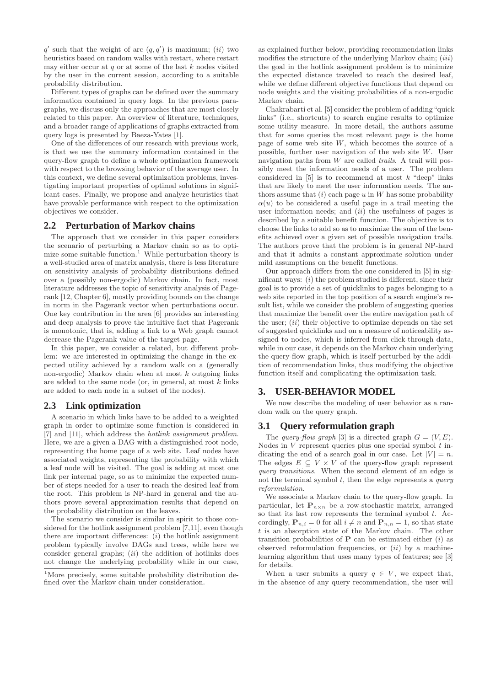$q'$  such that the weight of arc  $(q, q')$  is maximum; *(ii)* two heuristics based on random walks with restart, where restart may either occur at  $q$  or at some of the last  $k$  nodes visited by the user in the current session, according to a suitable probability distribution.

Different types of graphs can be defined over the summary information contained in query logs. In the previous paragraphs, we discuss only the approaches that are most closely related to this paper. An overview of literature, techniques, and a broader range of applications of graphs extracted from query logs is presented by Baeza-Yates [1].

One of the differences of our research with previous work, is that we use the summary information contained in the query-flow graph to define a whole optimization framework with respect to the browsing behavior of the average user. In this context, we define several optimization problems, investigating important properties of optimal solutions in significant cases. Finally, we propose and analyze heuristics that have provable performance with respect to the optimization objectives we consider.

### **2.2 Perturbation of Markov chains**

The approach that we consider in this paper considers the scenario of perturbing a Markov chain so as to optimize some suitable function.<sup>1</sup> While perturbation theory is a well-studied area of matrix analysis, there is less literature on sensitivity analysis of probability distributions defined over a (possibly non-ergodic) Markov chain. In fact, most literature addresses the topic of sensitivity analysis of Pagerank [12, Chapter 6], mostly providing bounds on the change in norm in the Pagerank vector when perturbations occur. One key contribution in the area [6] provides an interesting and deep analysis to prove the intuitive fact that Pagerank is monotonic, that is, adding a link to a Web graph cannot decrease the Pagerank value of the target page.

In this paper, we consider a related, but different problem: we are interested in optimizing the change in the expected utility achieved by a random walk on a (generally non-ergodic) Markov chain when at most  $k$  outgoing links are added to the same node (or, in general, at most  $k$  links are added to each node in a subset of the nodes).

## **2.3 Link optimization**

A scenario in which links have to be added to a weighted graph in order to optimize some function is considered in [7] and [11], which address the *hotlink assignment problem*. Here, we are a given a DAG with a distinguished root node, representing the home page of a web site. Leaf nodes have associated weights, representing the probability with which a leaf node will be visited. The goal is adding at most one link per internal page, so as to minimize the expected number of steps needed for a user to reach the desired leaf from the root. This problem is NP-hard in general and the authors prove several approximation results that depend on the probability distribution on the leaves.

The scenario we consider is similar in spirit to those considered for the hotlink assignment problem [7,11], even though there are important differences:  $(i)$  the hotlink assignment problem typically involve DAGs and trees, while here we consider general graphs;  $(ii)$  the addition of hotlinks does not change the underlying probability while in our case,

as explained further below, providing recommendation links modifies the structure of the underlying Markov chain;  $(iii)$ the goal in the hotlink assignment problem is to minimize the expected distance traveled to reach the desired leaf, while we define different objective functions that depend on node weights and the visiting probabilities of a non-ergodic Markov chain.

Chakrabarti et al. [5] consider the problem of adding"quicklinks" (i.e., shortcuts) to search engine results to optimize some utility measure. In more detail, the authors assume that for some queries the most relevant page is the home page of some web site  $W$ , which becomes the source of a possible, further user navigation of the web site W. User navigation paths from W are called *trails*. A trail will possibly meet the information needs of a user. The problem considered in  $[5]$  is to recommend at most k "deep" links that are likely to meet the user information needs. The authors assume that  $(i)$  each page u in W has some probability  $\alpha(u)$  to be considered a useful page in a trail meeting the user information needs; and  $(ii)$  the usefulness of pages is described by a suitable benefit function. The objective is to choose the links to add so as to maximize the sum of the benefits achieved over a given set of possible navigation trails. The authors prove that the problem is in general NP-hard and that it admits a constant approximate solution under mild assumptions on the benefit functions.

Our approach differs from the one considered in [5] in significant ways:  $(i)$  the problem studied is different, since their goal is to provide a set of quicklinks to pages belonging to a web site reported in the top position of a search engine's result list, while we consider the problem of suggesting queries that maximize the benefit over the entire navigation path of the user;  $(ii)$  their objective to optimize depends on the set of suggested quicklinks and on a measure of noticeability assigned to nodes, which is inferred from click-through data, while in our case, it depends on the Markov chain underlying the query-flow graph, which is itself perturbed by the addition of recommendation links, thus modifying the objective function itself and complicating the optimization task.

## **3. USER-BEHAVIOR MODEL**

We now describe the modeling of user behavior as a random walk on the query graph.

## **3.1 Query reformulation graph**

The *query-flow graph* [3] is a directed graph  $G = (V, E)$ . Nodes in  $V$  represent queries plus one special symbol  $t$  indicating the end of a search goal in our case. Let  $|V| = n$ . The edges  $E \subseteq V \times V$  of the query-flow graph represent *query transitions*. When the second element of an edge is not the terminal symbol t, then the edge represents a *query reformulation*.

We associate a Markov chain to the query-flow graph. In particular, let  $\mathbf{P}_{n\times n}$  be a row-stochastic matrix, arranged so that its last row represents the terminal symbol  $t$ . Accordingly,  $\mathbf{P}_{n,i} = 0$  for all  $i \neq n$  and  $\mathbf{P}_{n,n} = 1$ , so that state t is an absorption state of the Markov chain. The other transition probabilities of  $P$  can be estimated either  $(i)$  as observed reformulation frequencies, or  $(ii)$  by a machinelearning algorithm that uses many types of features; see [3] for details.

When a user submits a query  $q \in V$ , we expect that, in the absence of any query recommendation, the user will

<sup>&</sup>lt;sup>1</sup>More precisely, some suitable probability distribution defined over the Markov chain under consideration.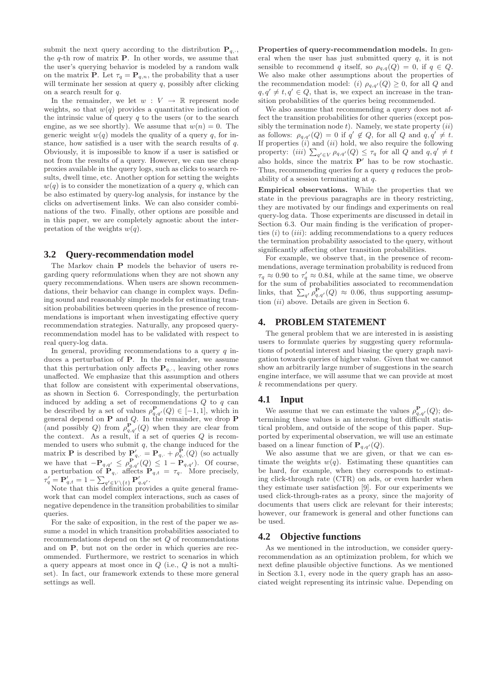submit the next query according to the distribution  $P_{q,\cdot}$ , the  $q$ -th row of matrix  $P$ . In other words, we assume that the user's querying behavior is modeled by a random walk on the matrix **P**. Let  $\tau_q = \mathbf{P}_{q,n}$ , the probability that a user will terminate her session at query q, possibly after clicking on a search result for  $q$ .

In the remainder, we let  $w: V \to \mathbb{R}$  represent node weights, so that  $w(q)$  provides a quantitative indication of the intrinsic value of query  $q$  to the users (or to the search engine, as we see shortly). We assume that  $w(n) = 0$ . The generic weight  $w(q)$  models the quality of a query q, for instance, how satisfied is a user with the search results of q. Obviously, it is impossible to know if a user is satisfied or not from the results of a query. However, we can use cheap proxies available in the query logs, such as clicks to search results, dwell time, etc. Another option for setting the weights  $w(q)$  is to consider the monetization of a query q, which can be also estimated by query-log analysis, for instance by the clicks on advertisement links. We can also consider combinations of the two. Finally, other options are possible and in this paper, we are completely agnostic about the interpretation of the weights  $w(q)$ .

#### **3.2 Query-recommendation model**

The Markov chain P models the behavior of users regarding query reformulations when they are not shown any query recommendations. When users are shown recommendations, their behavior can change in complex ways. Defining sound and reasonably simple models for estimating transition probabilities between queries in the presence of recommendations is important when investigating effective query recommendation strategies. Naturally, any proposed queryrecommendation model has to be validated with respect to real query-log data.

In general, providing recommendations to a query  $q$  induces a perturbation of P. In the remainder, we assume that this perturbation only affects  $P_{q,\cdot}$ , leaving other rows unaffected. We emphasize that this assumption and others that follow are consistent with experimental observations, as shown in Section 6. Correspondingly, the perturbation induced by adding a set of recommendations  $Q$  to  $q$  can be described by a set of values  $\rho_{q,q'}^{\mathbf{P}}(Q) \in [-1,1]$ , which in general depend on  $P$  and  $Q$ . In the remainder, we drop  $P$ (and possibly Q) from  $\rho_{q,q'}^{\mathbf{P}}(Q)$  when they are clear from the context. As a result, if a set of queries  $Q$  is recommended to users who submit  $q$ , the change induced for the matrix **P** is described by  $\mathbf{P}'_{q,\cdot} = \mathbf{P}_{q,\cdot} + \rho^{\mathbf{P}}_{q,\cdot}(Q)$  (so actually we have that  $-\mathbf{P}_{q,q'} \leq \rho_{q,q'}^{\mathbf{P}}(Q) \leq 1-\mathbf{P}_{q,q'}).$  Of course, a perturbation of  $P_{q,+}$  affects  $P_{q,t} = \tau_q$ . More precisely,  $\tau'_q = \mathbf{P}_{q,t}' = 1 - \sum_{q' \in V \setminus \{t\}} \mathbf{P}_{q,q'}'.$ 

Note that this definition provides a quite general framework that can model complex interactions, such as cases of negative dependence in the transition probabilities to similar queries.

For the sake of exposition, in the rest of the paper we assume a model in which transition probabilities associated to recommendations depend on the set Q of recommendations and on P, but not on the order in which queries are recommended. Furthermore, we restrict to scenarios in which a query appears at most once in  $Q$  (i.e.,  $Q$  is not a multiset). In fact, our framework extends to these more general settings as well.

Properties of query-recommendation models. In general when the user has just submitted query  $q$ , it is not sensible to recommend q itself, so  $\rho_{q,q}(Q) = 0$ , if  $q \in Q$ . We also make other assumptions about the properties of the recommendation model: (i)  $\rho_{q,q'}(Q) \geq 0$ , for all Q and  $q, q' \neq t, q' \in Q$ , that is, we expect an increase in the transition probabilities of the queries being recommended.

We also assume that recommending a query does not affect the transition probabilities for other queries (except possibly the termination node  $t$ ). Namely, we state property  $(ii)$ as follows:  $\rho_{q,q'}(Q) = 0$  if  $q' \notin Q$ , for all  $Q$  and  $q, q' \neq t$ . If properties  $(i)$  and  $(ii)$  hold, we also require the following property: (iii)  $\sum_{q' \in V} \rho_{q,q'}(Q) \leq \tau_q$  for all Q and  $q, q' \neq t$ also holds, since the matrix  $P'$  has to be row stochastic. Thus, recommending queries for a query  $q$  reduces the probability of a session terminating at  $q$ .

Empirical observations. While the properties that we state in the previous paragraphs are in theory restricting, they are motivated by our findings and experiments on real query-log data. Those experiments are discussed in detail in Section 6.3. Our main finding is the verification of properties  $(i)$  to  $(iii)$ : adding recommendations to a query reduces the termination probability associated to the query, without significantly affecting other transition probabilities.

For example, we observe that, in the presence of recommendations, average termination probability is reduced from  $\tau_q \approx 0.90$  to  $\tau'_q \approx 0.84$ , while at the same time, we observe for the sum of probabilities associated to recommendation links, that  $\sum_{q'} \rho_{q,q'}^{\mathbf{P}}(Q) \approx 0.06$ , thus supporting assumption  $(ii)$  above. Details are given in Section 6.

#### **4. PROBLEM STATEMENT**

The general problem that we are interested in is assisting users to formulate queries by suggesting query reformulations of potential interest and biasing the query graph navigation towards queries of higher value. Given that we cannot show an arbitrarily large number of suggestions in the search engine interface, we will assume that we can provide at most k recommendations per query.

#### **4.1 Input**

We assume that we can estimate the values  $\rho_{q,q'}^{\mathbf{P}}(Q)$ ; determining these values is an interesting but difficult statistical problem, and outside of the scope of this paper. Supported by experimental observation, we will use an estimate based on a linear function of  $P_{q,q'}(Q)$ .

We also assume that we are given, or that we can estimate the weights  $w(q)$ . Estimating these quantities can be hard, for example, when they corresponds to estimating click-through rate (CTR) on ads, or even harder when they estimate user satisfaction [9]. For our experiments we used click-through-rates as a proxy, since the majority of documents that users click are relevant for their interests; however, our framework is general and other functions can be used.

#### **4.2 Objective functions**

As we mentioned in the introduction, we consider queryrecommendation as an optimization problem, for which we next define plausible objective functions. As we mentioned in Section 3.1, every node in the query graph has an associated weight representing its intrinsic value. Depending on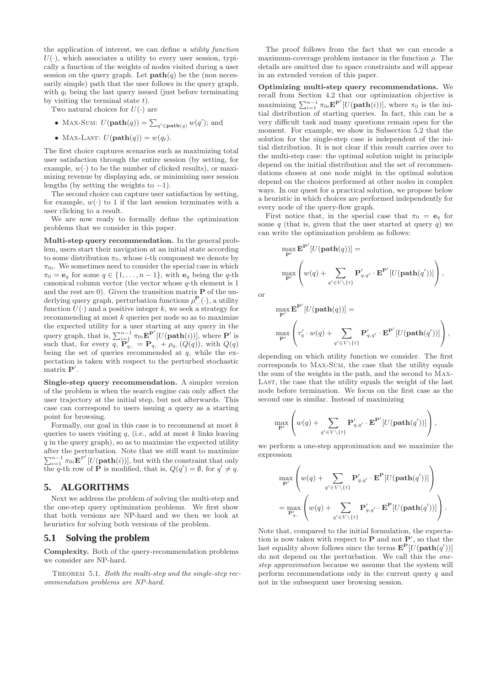the application of interest, we can define a *utility function*  $U(\cdot)$ , which associates a utility to every user session, typically a function of the weights of nodes visited during a user session on the query graph. Let  $\text{path}(q)$  be the (non necessarily simple) path that the user follows in the query graph, with  $q_t$  being the last query issued (just before terminating by visiting the terminal state  $t$ ).

Two natural choices for  $U(\cdot)$  are

- MAX-SUM:  $U(\textbf{path}(q)) = \sum_{q' \in \textbf{path}(q)} w(q')$ ; and
- MAX-LAST:  $U(\textbf{path}(q)) = w(q_t)$ .

The first choice captures scenarios such as maximizing total user satisfaction through the entire session (by setting, for example,  $w(\cdot)$  to be the number of clicked results), or maximizing revenue by displaying ads, or minimizing user session lengths (by setting the weights to  $-1$ ).

The second choice can capture user satisfaction by setting, for example,  $w(\cdot)$  to 1 if the last session terminates with a user clicking to a result.

We are now ready to formally define the optimization problems that we consider in this paper.

Multi-step query recommendation. In the general problem, users start their navigation at an initial state according to some distribution  $\pi_0$ , whose *i*-th component we denote by  $\pi_{0i}$ . We sometimes need to consider the special case in which  $\pi_0 = \mathbf{e}_q$  for some  $q \in \{1, \ldots, n-1\}$ , with  $\mathbf{e}_q$  being the q-th canonical column vector (the vector whose q-th element is 1 and the rest are 0). Given the transition matrix  $P$  of the underlying query graph, perturbation functions  $\rho^{\mathbf{P}}_{\cdot,\cdot}(\cdot)$ , a utility function  $U(\cdot)$  and a positive integer k, we seek a strategy for recommending at most  $k$  queries per node so as to maximize the expected utility for a user starting at any query in the query graph, that is,  $\sum_{i=1}^{n-1} \pi_{0i} \mathbf{E}^{\mathbf{P}'}[U(\mathbf{path}(i))],$  where  $\mathbf{P}'$  is such that, for every  $q, \overline{P}_{q,\cdot} = P_{q,\cdot} + \rho_{q,\cdot}(Q(q))$ , with  $Q(q)$ being the set of queries recommended at  $q$ , while the expectation is taken with respect to the perturbed stochastic matrix **P'**.

Single-step query recommendation. A simpler version of the problem is when the search engine can only affect the user trajectory at the initial step, but not afterwards. This case can correspond to users issuing a query as a starting point for browsing.

Formally, our goal in this case is to recommend at most  $k$ queries to users visiting  $q$ , (i.e., add at most  $k$  links leaving  $q$  in the query graph), so as to maximize the expected utility after the perturbation. Note that we still want to maximize  $\sum_{i=1}^{n-1} \pi_{0i} \mathbf{E}^{P'}[U(\mathbf{path}(i))],$  but with the constraint that only the q-th row of **P** is modified, that is,  $Q(q') = \emptyset$ , for  $q' \neq q$ .

## **5. ALGORITHMS**

Next we address the problem of solving the multi-step and the one-step query optimization problems. We first show that both versions are NP-hard and we then we look at heuristics for solving both versions of the problem.

## **5.1 Solving the problem**

Complexity. Both of the query-recommendation problems we consider are NP-hard.

THEOREM 5.1. *Both the multi-step and the single-step recommendation problems are NP-hard.*

The proof follows from the fact that we can encode a maximum-coverage problem instance in the function  $\rho$ . The details are omitted due to space constraints and will appear in an extended version of this paper.

Optimizing multi-step query recommendations. We recall from Section 4.2 that our optimization objective is maximizing  $\sum_{i=1}^{n-1} \pi_{0i} \mathbf{E}^{\mathbf{P}'}[U(\mathbf{path}(i))],$  where  $\pi_0$  is the initial distribution of starting queries. In fact, this can be a very difficult task and many questions remain open for the moment. For example, we show in Subsection 5.2 that the solution for the single-step case is independent of the initial distribution. It is not clear if this result carries over to the multi-step case: the optimal solution might in principle depend on the initial distribution and the set of recommendations chosen at one node might in the optimal solution depend on the choices performed at other nodes in complex ways. In our quest for a practical solution, we propose below a heuristic in which choices are performed independently for every node of the query-flow graph.

First notice that, in the special case that  $\pi_0 = \mathbf{e}_q$  for some  $q$  (that is, given that the user started at query  $q$ ) we can write the optimization problem as follows:

 $\overline{\phantom{a}}$ 

$$
\max_{\mathbf{P}'} \mathbf{E}^{\mathbf{P}'}[U(\mathbf{path}(q))] =
$$
  

$$
\max_{\mathbf{P}'} \left( w(q) + \sum_{q' \in V \setminus \{t\}} \mathbf{P}'_{q,q'} \cdot \mathbf{E}^{\mathbf{P}'}[U(\mathbf{path}(q'))]\right),
$$

or

$$
\begin{aligned} & \max_{\mathbf{P}'} \mathbf{E}^{\mathbf{P}'}[U(\mathbf{path}(q))] = \\ & \max_{\mathbf{P}'} \left( \tau'_q \cdot w(q) + \sum_{q' \in V \backslash \{t\}} \mathbf{P}'_{q,q'} \cdot \mathbf{E}^{\mathbf{P}'}[U(\mathbf{path}(q'))] \right), \end{aligned}
$$

depending on which utility function we consider. The first corresponds to Max-Sum, the case that the utility equals the sum of the weights in the path, and the second to Max-LAST, the case that the utility equals the weight of the last node before termination. We focus on the first case as the second one is similar. Instead of maximizing

$$
\max_{\mathbf{P}'} \left( w(q) + \sum_{q' \in V \setminus \{t\}} \mathbf{P}'_{q,q'} \cdot \mathbf{E}^{\mathbf{P}'}[U(\mathbf{path}(q'))] \right),
$$

 $\overline{ }$ 

we perform a one-step approximation and we maximize the expression

$$
\max_{\mathbf{P}'} \left( w(q) + \sum_{q' \in V \backslash \{t\}} \mathbf{P}'_{q,q'} \cdot \mathbf{E}^{\mathbf{P}}[U(\mathbf{path}(q'))] \right)
$$
  
= 
$$
\max_{\mathbf{P}'_{q,:}} \left( w(q) + \sum_{q' \in V \backslash \{t\}} \mathbf{P}'_{q,q'} \cdot \mathbf{E}^{\mathbf{P}}[U(\mathbf{path}(q'))] \right).
$$

Note that, compared to the initial formulation, the expectation is now taken with respect to  $P$  and not  $P'$ , so that the last equality above follows since the terms  $\mathbf{E}^{\mathbf{P}}[U(\mathbf{path}(q'))]$ do not depend on the perturbation. We call this the *onestep approximation* because we assume that the system will perform recommendations only in the current query  $q$  and not in the subsequent user browsing session.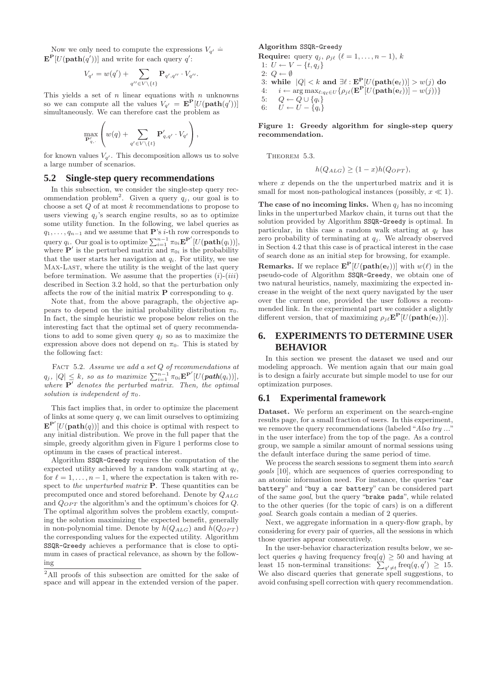Now we only need to compute the expressions  $V_{q'} \doteq$  $\mathbf{E}^{\mathbf{P}}[U(\mathbf{path}(q'))]$  and write for each query q':

$$
V_{q'} = w(q') + \sum_{q'' \in V \setminus \{t\}} \mathbf{P}_{q',q''} \cdot V_{q''}.
$$

This yields a set of  $n$  linear equations with  $n$  unknowns so we can compute all the values  $V_{q'} = \mathbf{E}^{\mathbf{P}}[U(\mathbf{path}(q'))]$ simultaneously. We can therefore cast the problem as

$$
\max_{\mathbf{P}_{q,\cdot}'} \left( w(q) + \sum_{q' \in V \setminus \{t\}} \mathbf{P}_{q,q'}' \cdot V_{q'} \right),
$$

for known values  $V_{q'}$ . This decomposition allows us to solve a large number of scenarios.

#### **5.2 Single-step query recommendations**

In this subsection, we consider the single-step query recommendation problem<sup>2</sup>. Given a query  $q_j$ , our goal is to choose a set  $\boldsymbol{Q}$  of at most  $\boldsymbol{k}$  recommendations to propose to users viewing  $q_i$ 's search engine results, so as to optimize some utility function. In the following, we label queries as  $q_1, \ldots, q_{n-1}$  and we assume that P's *i*-th row corresponds to query  $q_i$ . Our goal is to optimize  $\sum_{i=1}^{n-1} \pi_{0i} \mathbf{E}^{\mathbf{P}'}[U(\mathbf{path}(q_i))]$ , where **P**' is the perturbed matrix and  $\pi_{0i}$  is the probability that the user starts her navigation at  $q_i$ . For utility, we use MAX-LAST, where the utility is the weight of the last query before termination. We assume that the properties  $(i)-(iii)$ described in Section 3.2 hold, so that the perturbation only affects the row of the initial matrix  $P$  corresponding to q.

Note that, from the above paragraph, the objective appears to depend on the initial probability distribution  $\pi_0$ . In fact, the simple heuristic we propose below relies on the interesting fact that the optimal set of query recommendations to add to some given query  $q_i$  so as to maximize the expression above does not depend on  $\pi_0$ . This is stated by the following fact:

Fact 5.2. *Assume we add a set* Q *of recommendations at*  $q_j$ ,  $|Q| \leq k$ , so as to maximize  $\sum_{i=1}^{n-1} \pi_{0i} \mathbf{E}^{\mathbf{P}'}[U(\mathbf{path}(q_i))],$ *where* P ′ *denotes the perturbed matrix. Then, the optimal solution is independent of*  $\pi_0$ *.* 

This fact implies that, in order to optimize the placement of links at some query  $q$ , we can limit ourselves to optimizing  $\mathbf{E}^{\mathbf{P}'}[U(\mathbf{path}(q))]$  and this choice is optimal with respect to any initial distribution. We prove in the full paper that the simple, greedy algorithm given in Figure 1 performs close to optimum in the cases of practical interest.

Algorithm SSQR-Greedy requires the computation of the expected utility achieved by a random walk starting at  $q_{\ell}$ , for  $\ell = 1, \ldots, n-1$ , where the expectation is taken with respect to *the unperturbed matrix* **P**. These quantities can be precomputed once and stored beforehand. Denote by QALG and  $Q_{OPT}$  the algorithm's and the optimum's choices for  $Q$ . The optimal algorithm solves the problem exactly, computing the solution maximizing the expected benefit, generally in non-polynomial time. Denote by  $h(Q_{ALG})$  and  $h(Q_{OPT})$ the corresponding values for the expected utility. Algorithm SSQR-Greedy achieves a performance that is close to optimum in cases of practical relevance, as shown by the following

#### Algorithm SSQR-Greedy

**Require:** query  $q_j$ ,  $\rho_{j\ell}$  ( $\ell = 1, \ldots, n-1$ ), k 1:  $\bar{U} \leftarrow V - \{t, q_j\}$ 2:  $Q \leftarrow \emptyset$ 3: while  $|Q| < k$  and  $\exists \ell : \mathbf{E}^{\mathbf{P}}[U(\mathbf{path}(\mathbf{e}_{\ell}))] > w(j)$  do 4:  $i \leftarrow \arg \max_{\ell: q_{\ell} \in U} \{ \rho_{j\ell}(\mathbf{E}^{\mathbf{P}}[U(\mathbf{path}(\mathbf{e}_{\ell}))]-w(j)) \}$ 5:  $Q \leftarrow Q \cup \{q_i\}$ 6:  $\dot{U} \leftarrow \dot{U} - \{q_i\}$ 

Figure 1: Greedy algorithm for single-step query recommendation.

THEOREM 5.3.

$$
h(Q_{ALG}) \ge (1-x)h(Q_{OPT}),
$$

where  $x$  depends on the the unperturbed matrix and it is small for most non-pathological instances (possibly,  $x \ll 1$ ).

The case of no incoming links. When  $q_i$  has no incoming links in the unperturbed Markov chain, it turns out that the solution provided by Algorithm SSQR-Greedy is optimal. In particular, in this case a random walk starting at  $q_\ell$  has zero probability of terminating at  $q_i$ . We already observed in Section 4.2 that this case is of practical interest in the case of search done as an initial step for browsing, for example.

**Remarks.** If we replace  $\mathbf{E}^{\mathbf{P}}[U(\mathbf{path}(\mathbf{e}_{\ell}))]$  with  $w(\ell)$  in the pseudo-code of Algorithm SSQR-Greedy, we obtain one of two natural heuristics, namely, maximizing the expected increase in the weight of the next query navigated by the user over the current one, provided the user follows a recommended link. In the experimental part we consider a slightly different version, that of maximizing  $\rho_{j\ell} \mathbf{E}^{\mathbf{P}}[U(\mathbf{path}(\mathbf{e}_{\ell}))].$ 

# **6. EXPERIMENTS TO DETERMINE USER BEHAVIOR**

In this section we present the dataset we used and our modeling approach. We mention again that our main goal is to design a fairly accurate but simple model to use for our optimization purposes.

#### **6.1 Experimental framework**

Dataset. We perform an experiment on the search-engine results page, for a small fraction of users. In this experiment, we remove the query recommendations (labeled "*Also try ...*" in the user interface) from the top of the page. As a control group, we sample a similar amount of normal sessions using the default interface during the same period of time.

We process the search sessions to segment them into *search goals* [10], which are sequences of queries corresponding to an atomic information need. For instance, the queries "car battery" and "buy a car battery" can be considered part of the same *goal*, but the query "brake pads", while related to the other queries (for the topic of cars) is on a different *goal*. Search goals contain a median of 2 queries.

Next, we aggregate information in a query-flow graph, by considering for every pair of queries, all the sessions in which those queries appear consecutively.

In the user-behavior characterization results below, we select queries q having frequency freq(q)  $\geq$  50 and having at least 15 non-terminal transitions:  $\sum_{q' \neq t} \text{freq}(q, q') \geq 15$ . We also discard queries that generate spell suggestions, to avoid confusing spell correction with query recommendation.

<sup>&</sup>lt;sup>2</sup>All proofs of this subsection are omitted for the sake of space and will appear in the extended version of the paper.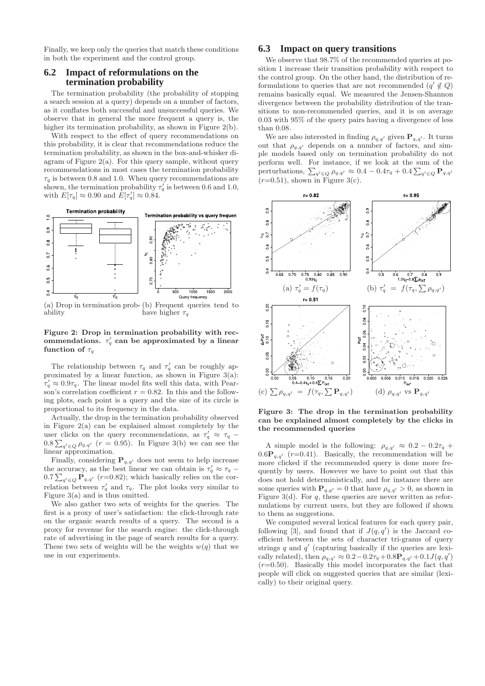Finally, we keep only the queries that match these conditions in both the experiment and the control group.

#### **6.2 Impact of reformulations on the termination probability**

The termination probability (the probability of stopping a search session at a query) depends on a number of factors, as it conflates both successful and unsuccessful queries. We observe that in general the more frequent a query is, the higher its termination probability, as shown in Figure 2(b).

With respect to the effect of query recommendations on this probability, it is clear that recommendations reduce the termination probability, as shown in the box-and-whisker diagram of Figure  $2(a)$ . For this query sample, without query recommendations in most cases the termination probability  $\tau_q$  is between 0.8 and 1.0. When query recommendations are shown, the termination probability  $\tau_q'$  is between 0.6 and 1.0, with  $E[\tau_q] \approx 0.90$  and  $E[\tau_q'] \approx 0.84$ .



(a) Drop in termination prob-(b) Frequent queries tend to ability have higher  $\tau_q$ 

#### Figure 2: Drop in termination probability with recommendations.  $\tau'_q$  can be approximated by a linear function of  $\tau_q$

The relationship between  $\tau_q$  and  $\tau'_q$  can be roughly approximated by a linear function, as shown in Figure  $3(a)$ :  $\tau'_q \approx 0.9\tau_q$ . The linear model fits well this data, with Pearson's correlation coefficient  $r = 0.82$ . In this and the following plots, each point is a query and the size of its circle is proportional to its frequency in the data.

Actually, the drop in the termination probability observed in Figure 2(a) can be explained almost completely by the user clicks on the query recommendations, as  $\tau'_q \approx \tau_q$  –  $0.8\sum_{q' \in Q} \rho_{q,q'}$  ( $r = 0.95$ ). In Figure 3(b) we can see the linear approximation.

Finally, considering  $P_{q,q'}$  does not seem to help increase the accuracy, as the best linear we can obtain is  $\tau'_q \approx \tau_q$  –  $0.7\sum_{q' \in Q} \mathbf{P}_{q,q'}$  (r=0.82); which basically relies on the correlation between  $\tau'_q$  and  $\tau_q$ . The plot looks very similar to Figure 3(a) and is thus omitted.

We also gather two sets of weights for the queries. The first is a proxy of user's satisfaction: the click-through rate on the organic search results of a query. The second is a proxy for revenue for the search engine: the click-through rate of advertising in the page of search results for a query. These two sets of weights will be the weights  $w(q)$  that we use in our experiments.

## **6.3 Impact on query transitions**

We observe that  $98.7\%$  of the recommended queries at position 1 increase their transition probability with respect to the control group. On the other hand, the distribution of reformulations to queries that are not recommended  $(q' \notin Q)$ remains basically equal. We measured the Jensen-Shannon divergence between the probability distribution of the transitions to non-recommended queries, and it is on average 0.03 with 95% of the query pairs having a divergence of less than 0.08.

We are also interested in finding  $\rho_{q,q'}$  given  $\mathbf{P}_{q,q'}$ . It turns out that  $\rho_{q,q'}$  depends on a number of factors, and simple models based only on termination probability do not perform well. For instance, if we look at the sum of the perturbations,  $\sum_{q' \in Q} \rho_{q,q'} \approx 0.4 - 0.4\tau_q + 0.4 \sum_{q' \in Q} \mathbf{P}_{q,q'}$  $(r=0.51)$ , shown in Figure 3(c).



Figure 3: The drop in the termination probability can be explained almost completely by the clicks in the recommended queries

A simple model is the following:  $\rho_{q,q'} \approx 0.2 - 0.2\tau_q +$  $0.6P_{q,q'}$  (r=0.41). Basically, the recommendation will be more clicked if the recommended query is done more frequently by users. However we have to point out that this does not hold deterministically, and for instance there are some queries with  $P_{q,q'} = 0$  that have  $\rho_{q,q'} > 0$ , as shown in Figure  $3(d)$ . For q, these queries are never written as reformulations by current users, but they are followed if shown to them as suggestions.

We computed several lexical features for each query pair, following [3], and found that if  $J(q, q')$  is the Jaccard coefficient between the sets of character tri-grams of query strings  $q$  and  $q'$  (capturing basically if the queries are lexically related), then  $\rho_{q,q'} \approx 0.2 - 0.2\tau_q + 0.8\mathbf{P}_{q,q'} + 0.1J(q,q')$  $(r=0.50)$ . Basically this model incorporates the fact that people will click on suggested queries that are similar (lexically) to their original query.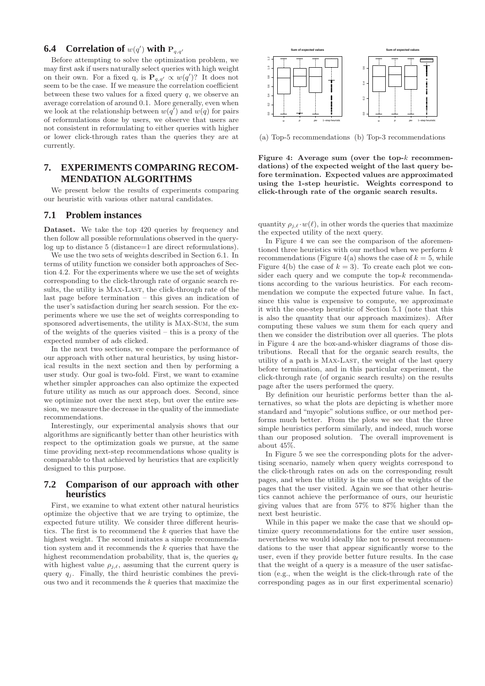## **6.4** Correlation of  $w(q')$  with  $P_{q,q'}$

Before attempting to solve the optimization problem, we may first ask if users naturally select queries with high weight on their own. For a fixed q, is  $\mathbf{P}_{q,q'} \propto w(q')$ ? It does not seem to be the case. If we measure the correlation coefficient between these two values for a fixed query  $q$ , we observe an average correlation of around 0.1. More generally, even when we look at the relationship between  $w(q')$  and  $w(q)$  for pairs of reformulations done by users, we observe that users are not consistent in reformulating to either queries with higher or lower click-through rates than the queries they are at currently.

# **7. EXPERIMENTS COMPARING RECOM-MENDATION ALGORITHMS**

We present below the results of experiments comparing our heuristic with various other natural candidates.

#### **7.1 Problem instances**

Dataset. We take the top 420 queries by frequency and then follow all possible reformulations observed in the querylog up to distance 5 (distance=1 are direct reformulations).

We use the two sets of weights described in Section 6.1. In terms of utility function we consider both approaches of Section 4.2. For the experiments where we use the set of weights corresponding to the click-through rate of organic search results, the utility is MAX-LAST, the click-through rate of the last page before termination – this gives an indication of the user's satisfaction during her search session. For the experiments where we use the set of weights corresponding to sponsored advertisements, the utility is Max-Sum, the sum of the weights of the queries visited – this is a proxy of the expected number of ads clicked.

In the next two sections, we compare the performance of our approach with other natural heuristics, by using historical results in the next section and then by performing a user study. Our goal is two-fold. First, we want to examine whether simpler approaches can also optimize the expected future utility as much as our approach does. Second, since we optimize not over the next step, but over the entire session, we measure the decrease in the quality of the immediate recommendations.

Interestingly, our experimental analysis shows that our algorithms are significantly better than other heuristics with respect to the optimization goals we pursue, at the same time providing next-step recommendations whose quality is comparable to that achieved by heuristics that are explicitly designed to this purpose.

## **7.2 Comparison of our approach with other heuristics**

First, we examine to what extent other natural heuristics optimize the objective that we are trying to optimize, the expected future utility. We consider three different heuristics. The first is to recommend the  $k$  queries that have the highest weight. The second imitates a simple recommendation system and it recommends the  $k$  queries that have the highest recommendation probability, that is, the queries  $q_{\ell}$ with highest value  $\rho_{j,\ell}$ , assuming that the current query is query  $q_i$ . Finally, the third heuristic combines the previous two and it recommends the k queries that maximize the



(a) Top-5 recommendations (b) Top-3 recommendations

Figure 4: Average sum (over the top- $k$  recommendations) of the expected weight of the last query before termination. Expected values are approximated using the 1-step heuristic. Weights correspond to click-through rate of the organic search results.

quantity  $\rho_{i,\ell} \cdot w(\ell)$ , in other words the queries that maximize the expected utility of the next query.

In Figure 4 we can see the comparison of the aforementioned three heuristics with our method when we perform k recommendations (Figure 4(a) shows the case of  $k = 5$ , while Figure 4(b) the case of  $k = 3$ ). To create each plot we consider each query and we compute the top- $k$  recommendations according to the various heuristics. For each recommendation we compute the expected future value. In fact, since this value is expensive to compute, we approximate it with the one-step heuristic of Section 5.1 (note that this is also the quantity that our approach maximizes). After computing these values we sum them for each query and then we consider the distribution over all queries. The plots in Figure 4 are the box-and-whisker diagrams of those distributions. Recall that for the organic search results, the utility of a path is MAX-LAST, the weight of the last query before termination, and in this particular experiment, the click-through rate (of organic search results) on the results page after the users performed the query.

By definition our heuristic performs better than the alternatives, so what the plots are depicting is whether more standard and "myopic" solutions suffice, or our method performs much better. From the plots we see that the three simple heuristics perform similarly, and indeed, much worse than our proposed solution. The overall improvement is about 45%.

In Figure 5 we see the corresponding plots for the advertising scenario, namely when query weights correspond to the click-through rates on ads on the corresponding result pages, and when the utility is the sum of the weights of the pages that the user visited. Again we see that other heuristics cannot achieve the performance of ours, our heuristic giving values that are from 57% to 87% higher than the next best heuristic.

While in this paper we make the case that we should optimize query recommendations for the entire user session, nevertheless we would ideally like not to present recommendations to the user that appear significantly worse to the user, even if they provide better future results. In the case that the weight of a query is a measure of the user satisfaction (e.g., when the weight is the click-through rate of the corresponding pages as in our first experimental scenario)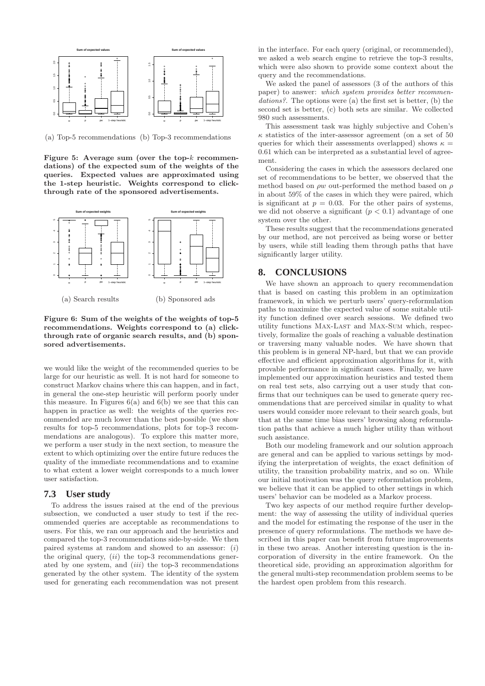

(a) Top-5 recommendations (b) Top-3 recommendations

Figure 5: Average sum (over the top- $k$  recommendations) of the expected sum of the weights of the queries. Expected values are approximated using the 1-step heuristic. Weights correspond to clickthrough rate of the sponsored advertisements.



Figure 6: Sum of the weights of the weights of top-5 recommendations. Weights correspond to (a) clickthrough rate of organic search results, and (b) sponsored advertisements.

we would like the weight of the recommended queries to be large for our heuristic as well. It is not hard for someone to construct Markov chains where this can happen, and in fact, in general the one-step heuristic will perform poorly under this measure. In Figures  $6(a)$  and  $6(b)$  we see that this can happen in practice as well: the weights of the queries recommended are much lower than the best possible (we show results for top-5 recommendations, plots for top-3 recommendations are analogous). To explore this matter more, we perform a user study in the next section, to measure the extent to which optimizing over the entire future reduces the quality of the immediate recommendations and to examine to what extent a lower weight corresponds to a much lower user satisfaction.

## **7.3 User study**

To address the issues raised at the end of the previous subsection, we conducted a user study to test if the recommended queries are acceptable as recommendations to users. For this, we ran our approach and the heuristics and compared the top-3 recommendations side-by-side. We then paired systems at random and showed to an assessor:  $(i)$ the original query,  $(ii)$  the top-3 recommendations generated by one system, and (iii) the top-3 recommendations generated by the other system. The identity of the system used for generating each recommendation was not present in the interface. For each query (original, or recommended), we asked a web search engine to retrieve the top-3 results, which were also shown to provide some context about the query and the recommendations.

We asked the panel of assessors (3 of the authors of this paper) to answer: *which system provides better recommendations?*. The options were (a) the first set is better, (b) the second set is better, (c) both sets are similar. We collected 980 such assessments.

This assessment task was highly subjective and Cohen's  $\kappa$  statistics of the inter-assessor agreement (on a set of 50 queries for which their assessments overlapped) shows  $\kappa =$ 0.61 which can be interpreted as a substantial level of agreement.

Considering the cases in which the assessors declared one set of recommendations to be better, we observed that the method based on  $\rho w$  out-performed the method based on  $\rho$ in about 59% of the cases in which they were paired, which is significant at  $p = 0.03$ . For the other pairs of systems, we did not observe a significant  $(p < 0.1)$  advantage of one system over the other.

These results suggest that the recommendations generated by our method, are not perceived as being worse or better by users, while still leading them through paths that have significantly larger utility.

## **8. CONCLUSIONS**

We have shown an approach to query recommendation that is based on casting this problem in an optimization framework, in which we perturb users' query-reformulation paths to maximize the expected value of some suitable utility function defined over search sessions. We defined two utility functions MAX-LAST and MAX-SUM which, respectively, formalize the goals of reaching a valuable destination or traversing many valuable nodes. We have shown that this problem is in general NP-hard, but that we can provide effective and efficient approximation algorithms for it, with provable performance in significant cases. Finally, we have implemented our approximation heuristics and tested them on real test sets, also carrying out a user study that confirms that our techniques can be used to generate query recommendations that are perceived similar in quality to what users would consider more relevant to their search goals, but that at the same time bias users' browsing along reformulation paths that achieve a much higher utility than without such assistance.

Both our modeling framework and our solution approach are general and can be applied to various settings by modifying the interpretation of weights, the exact definition of utility, the transition probability matrix, and so on. While our initial motivation was the query reformulation problem, we believe that it can be applied to other settings in which users' behavior can be modeled as a Markov process.

Two key aspects of our method require further development: the way of assessing the utility of individual queries and the model for estimating the response of the user in the presence of query reformulations. The methods we have described in this paper can benefit from future improvements in these two areas. Another interesting question is the incorporation of diversity in the entire framework. On the theoretical side, providing an approximation algorithm for the general multi-step recommendation problem seems to be the hardest open problem from this research.